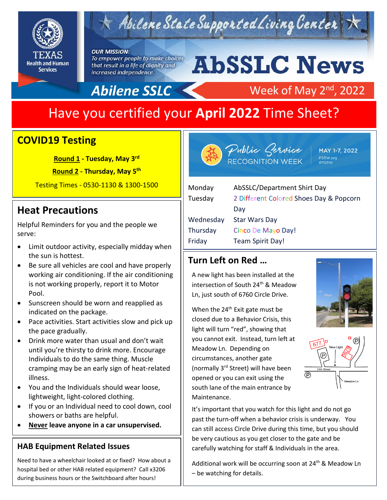

## Abilene State Supported Living Center

#### **OUR MISSION:**

To empower people to make choices that result in a life of dignity and increased independence.

# **AbSSLC News**

Week of May 2<sup>nd</sup>, 2022

### Abilene SSLC

## Have you certified your **April 2022** Time Sheet?

#### **COVID19 Testing**

**Round 1 - Tuesday, May 3 rd**

**Round 2 - Thursday, May 5 th**

Testing Times - 0530-1130 & 1300-1500

#### **Heat Precautions**

Helpful Reminders for you and the people we serve:

- Limit outdoor activity, especially midday when the sun is hottest.
- Be sure all vehicles are cool and have properly working air conditioning. If the air conditioning is not working properly, report it to Motor Pool.
- Sunscreen should be worn and reapplied as indicated on the package.
- Pace activities. Start activities slow and pick up the pace gradually.
- Drink more water than usual and don't wait until you're thirsty to drink more. Encourage Individuals to do the same thing. Muscle cramping may be an early sign of heat-related illness.
- You and the Individuals should wear loose, lightweight, light-colored clothing.
- If you or an Individual need to cool down, cool showers or baths are helpful.
- **Never leave anyone in a car unsupervised.**

#### **HAB Equipment Related Issues**

Need to have a wheelchair looked at or fixed? How about a hospital bed or other HAB related equipment? Call x3206 during business hours or the Switchboard after hours!



Public Gervice<br>RECOGNITION WEEK

MAY 1-7, 2022 PSRW.org<br>#PSRW

| Monday    | AbSSLC/Department Shirt Day             |
|-----------|-----------------------------------------|
| Tuesday   | 2 Different Colored Shoes Day & Popcorn |
|           | Day                                     |
| Wednesday | <b>Star Wars Day</b>                    |
| Thursday  | Cinco De Mayo Day!                      |
| Friday    | Team Spirit Day!                        |
|           |                                         |

#### **Turn Left on Red …**

A new light has been installed at the intersection of South 24<sup>th</sup> & Meadow Ln, just south of 6760 Circle Drive.

When the 24<sup>th</sup> Exit gate must be closed due to a Behavior Crisis, this light will turn "red", showing that you cannot exit. Instead, turn left at Meadow Ln. Depending on circumstances, another gate (normally 3rd Street) will have been opened or you can exit using the south lane of the main entrance by Maintenance.





It's important that you watch for this light and do not go past the turn-off when a behavior crisis is underway. You can still access Circle Drive during this time, but you should be very cautious as you get closer to the gate and be carefully watching for staff & Individuals in the area.

Additional work will be occurring soon at  $24<sup>th</sup>$  & Meadow Ln – be watching for details.